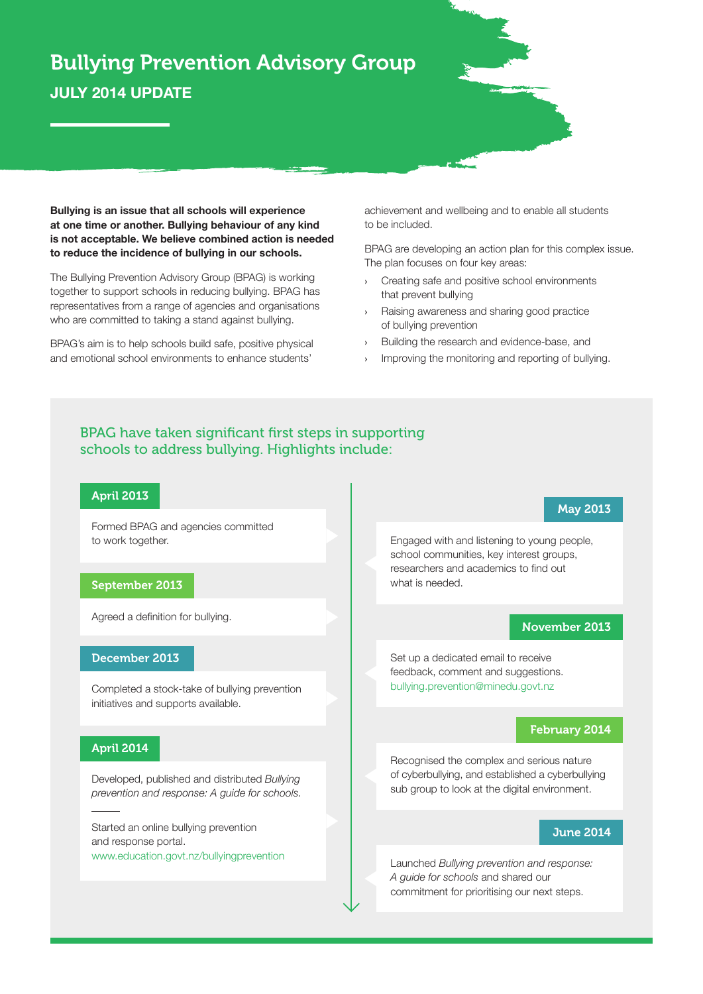# Bullying Prevention Advisory Group **JULY 2014 UPDATE**

**Bullying is an issue that all schools will experience at one time or another. Bullying behaviour of any kind is not acceptable. We believe combined action is needed to reduce the incidence of bullying in our schools.** 

The Bullying Prevention Advisory Group (BPAG) is working together to support schools in reducing bullying. BPAG has representatives from a range of agencies and organisations who are committed to taking a stand against bullying.

BPAG's aim is to help schools build safe, positive physical and emotional school environments to enhance students'

achievement and wellbeing and to enable all students to be included.

BPAG are developing an action plan for this complex issue. The plan focuses on four key areas:

- **›** Creating safe and positive school environments that prevent bullying
- **›** Raising awareness and sharing good practice of bullying prevention
- **›** Building the research and evidence-base, and
- **›** Improving the monitoring and reporting of bullying.

# BPAG have taken significant first steps in supporting schools to address bullying. Highlights include:

# April 2013

Formed BPAG and agencies committed to work together.

#### September 2013

Agreed a definition for bullying.

### December 2013

Completed a stock-take of bullying prevention initiatives and supports available.

#### April 2014

Developed, published and distributed *Bullying prevention and response: A guide for schools.*

Started an online bullying prevention and response portal. www.education.govt.nz/bullyingprevention

Engaged with and listening to young people, school communities, key interest groups, researchers and academics to find out what is needed.

## November 2013

May 2013

Set up a dedicated email to receive feedback, comment and suggestions. bullying.prevention@minedu.govt.nz

### February 2014

Recognised the complex and serious nature of cyberbullying, and established a cyberbullying sub group to look at the digital environment.

#### June 2014

Launched *Bullying prevention and response: A guide for schools* and shared our commitment for prioritising our next steps.